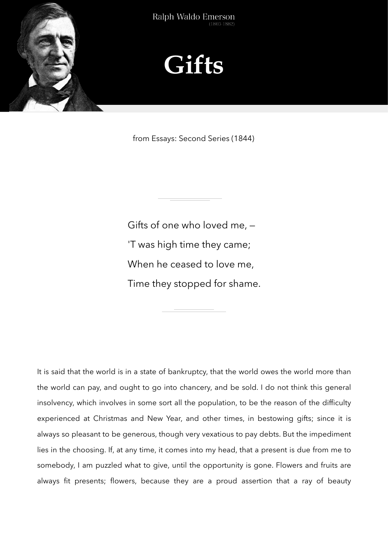



from Essays: Second Series (1844)

Gifts of one who loved me, — 'T was high time they came; When he ceased to love me, Time they stopped for shame.

It is said that the world is in a state of bankruptcy, that the world owes the world more than the world can pay, and ought to go into chancery, and be sold. I do not think this general insolvency, which involves in some sort all the population, to be the reason of the difficulty experienced at Christmas and New Year, and other times, in bestowing gifts; since it is always so pleasant to be generous, though very vexatious to pay debts. But the impediment lies in the choosing. If, at any time, it comes into my head, that a present is due from me to somebody, I am puzzled what to give, until the opportunity is gone. Flowers and fruits are always fit presents; flowers, because they are a proud assertion that a ray of beauty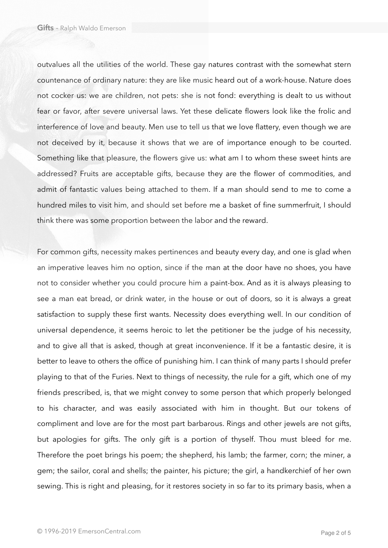outvalues all the utilities of the world. These gay natures contrast with the somewhat stern countenance of ordinary nature: they are like music heard out of a work-house. Nature does not cocker us: we are children, not pets: she is not fond: everything is dealt to us without fear or favor, after severe universal laws. Yet these delicate flowers look like the frolic and interference of love and beauty. Men use to tell us that we love flattery, even though we are not deceived by it, because it shows that we are of importance enough to be courted. Something like that pleasure, the flowers give us: what am I to whom these sweet hints are addressed? Fruits are acceptable gifts, because they are the flower of commodities, and admit of fantastic values being attached to them. If a man should send to me to come a hundred miles to visit him, and should set before me a basket of fine summerfruit, I should think there was some proportion between the labor and the reward.

For common gifts, necessity makes pertinences and beauty every day, and one is glad when an imperative leaves him no option, since if the man at the door have no shoes, you have not to consider whether you could procure him a paint-box. And as it is always pleasing to see a man eat bread, or drink water, in the house or out of doors, so it is always a great satisfaction to supply these first wants. Necessity does everything well. In our condition of universal dependence, it seems heroic to let the petitioner be the judge of his necessity, and to give all that is asked, though at great inconvenience. If it be a fantastic desire, it is better to leave to others the office of punishing him. I can think of many parts I should prefer playing to that of the Furies. Next to things of necessity, the rule for a gift, which one of my friends prescribed, is, that we might convey to some person that which properly belonged to his character, and was easily associated with him in thought. But our tokens of compliment and love are for the most part barbarous. Rings and other jewels are not gifts, but apologies for gifts. The only gift is a portion of thyself. Thou must bleed for me. Therefore the poet brings his poem; the shepherd, his lamb; the farmer, corn; the miner, a gem; the sailor, coral and shells; the painter, his picture; the girl, a handkerchief of her own sewing. This is right and pleasing, for it restores society in so far to its primary basis, when a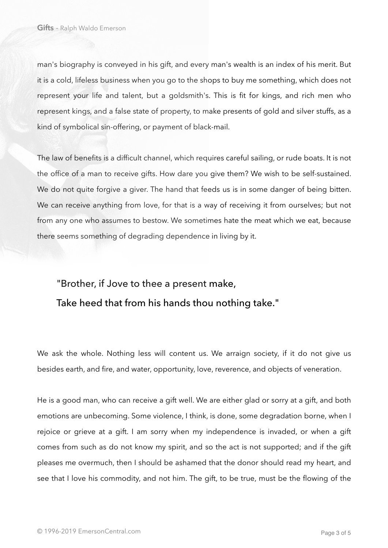man's biography is conveyed in his gift, and every man's wealth is an index of his merit. But it is a cold, lifeless business when you go to the shops to buy me something, which does not represent your life and talent, but a goldsmith's. This is fit for kings, and rich men who represent kings, and a false state of property, to make presents of gold and silver stuffs, as a kind of symbolical sin-offering, or payment of black-mail.

The law of benefits is a difficult channel, which requires careful sailing, or rude boats. It is not the office of a man to receive gifts. How dare you give them? We wish to be self-sustained. We do not quite forgive a giver. The hand that feeds us is in some danger of being bitten. We can receive anything from love, for that is a way of receiving it from ourselves; but not from any one who assumes to bestow. We sometimes hate the meat which we eat, because there seems something of degrading dependence in living by it.

## "Brother, if Jove to thee a present make, Take heed that from his hands thou nothing take."

We ask the whole. Nothing less will content us. We arraign society, if it do not give us besides earth, and fire, and water, opportunity, love, reverence, and objects of veneration.

He is a good man, who can receive a gift well. We are either glad or sorry at a gift, and both emotions are unbecoming. Some violence, I think, is done, some degradation borne, when I rejoice or grieve at a gift. I am sorry when my independence is invaded, or when a gift comes from such as do not know my spirit, and so the act is not supported; and if the gift pleases me overmuch, then I should be ashamed that the donor should read my heart, and see that I love his commodity, and not him. The gift, to be true, must be the flowing of the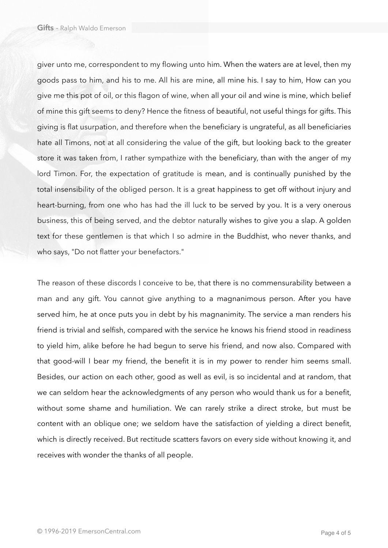giver unto me, correspondent to my flowing unto him. When the waters are at level, then my goods pass to him, and his to me. All his are mine, all mine his. I say to him, How can you give me this pot of oil, or this flagon of wine, when all your oil and wine is mine, which belief of mine this gift seems to deny? Hence the fitness of beautiful, not useful things for gifts. This giving is flat usurpation, and therefore when the beneficiary is ungrateful, as all beneficiaries hate all Timons, not at all considering the value of the gift, but looking back to the greater store it was taken from, I rather sympathize with the beneficiary, than with the anger of my lord Timon. For, the expectation of gratitude is mean, and is continually punished by the total insensibility of the obliged person. It is a great happiness to get off without injury and heart-burning, from one who has had the ill luck to be served by you. It is a very onerous business, this of being served, and the debtor naturally wishes to give you a slap. A golden text for these gentlemen is that which I so admire in the Buddhist, who never thanks, and who says, "Do not flatter your benefactors."

The reason of these discords I conceive to be, that there is no commensurability between a man and any gift. You cannot give anything to a magnanimous person. After you have served him, he at once puts you in debt by his magnanimity. The service a man renders his friend is trivial and selfish, compared with the service he knows his friend stood in readiness to yield him, alike before he had begun to serve his friend, and now also. Compared with that good-will I bear my friend, the benefit it is in my power to render him seems small. Besides, our action on each other, good as well as evil, is so incidental and at random, that we can seldom hear the acknowledgments of any person who would thank us for a benefit, without some shame and humiliation. We can rarely strike a direct stroke, but must be content with an oblique one; we seldom have the satisfaction of yielding a direct benefit, which is directly received. But rectitude scatters favors on every side without knowing it, and receives with wonder the thanks of all people.